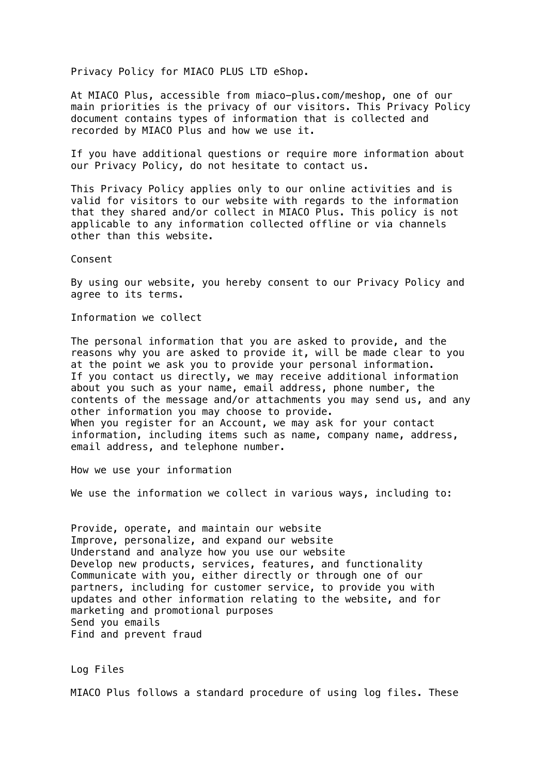Privacy Policy for MIACO PLUS LTD eShop.

At MIACO Plus, accessible from miaco-plus.com/meshop, one of our main priorities is the privacy of our visitors. This Privacy Policy document contains types of information that is collected and recorded by MIACO Plus and how we use it.

If you have additional questions or require more information about our Privacy Policy, do not hesitate to contact us.

This Privacy Policy applies only to our online activities and is valid for visitors to our website with regards to the information that they shared and/or collect in MIACO Plus. This policy is not applicable to any information collected offline or via channels other than this website.

Consent

By using our website, you hereby consent to our Privacy Policy and agree to its terms.

Information we collect

The personal information that you are asked to provide, and the reasons why you are asked to provide it, will be made clear to you at the point we ask you to provide your personal information. If you contact us directly, we may receive additional information about you such as your name, email address, phone number, the contents of the message and/or attachments you may send us, and any other information you may choose to provide. When you register for an Account, we may ask for your contact information, including items such as name, company name, address, email address, and telephone number.

How we use your information

We use the information we collect in various ways, including to:

Provide, operate, and maintain our website Improve, personalize, and expand our website Understand and analyze how you use our website Develop new products, services, features, and functionality Communicate with you, either directly or through one of our partners, including for customer service, to provide you with updates and other information relating to the website, and for marketing and promotional purposes Send you emails Find and prevent fraud

Log Files

MIACO Plus follows a standard procedure of using log files. These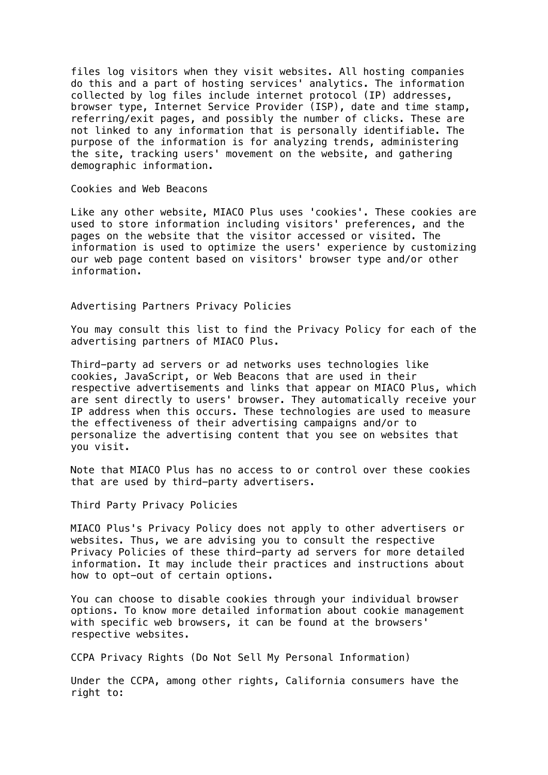files log visitors when they visit websites. All hosting companies do this and a part of hosting services' analytics. The information collected by log files include internet protocol (IP) addresses, browser type, Internet Service Provider (ISP), date and time stamp, referring/exit pages, and possibly the number of clicks. These are not linked to any information that is personally identifiable. The purpose of the information is for analyzing trends, administering the site, tracking users' movement on the website, and gathering demographic information.

Cookies and Web Beacons

Like any other website, MIACO Plus uses 'cookies'. These cookies are used to store information including visitors' preferences, and the pages on the website that the visitor accessed or visited. The information is used to optimize the users' experience by customizing our web page content based on visitors' browser type and/or other information.

Advertising Partners Privacy Policies

You may consult this list to find the Privacy Policy for each of the advertising partners of MIACO Plus.

Third-party ad servers or ad networks uses technologies like cookies, JavaScript, or Web Beacons that are used in their respective advertisements and links that appear on MIACO Plus, which are sent directly to users' browser. They automatically receive your IP address when this occurs. These technologies are used to measure the effectiveness of their advertising campaigns and/or to personalize the advertising content that you see on websites that you visit.

Note that MIACO Plus has no access to or control over these cookies that are used by third-party advertisers.

Third Party Privacy Policies

MIACO Plus's Privacy Policy does not apply to other advertisers or websites. Thus, we are advising you to consult the respective Privacy Policies of these third-party ad servers for more detailed information. It may include their practices and instructions about how to opt-out of certain options.

You can choose to disable cookies through your individual browser options. To know more detailed information about cookie management with specific web browsers, it can be found at the browsers' respective websites.

CCPA Privacy Rights (Do Not Sell My Personal Information)

Under the CCPA, among other rights, California consumers have the right to: